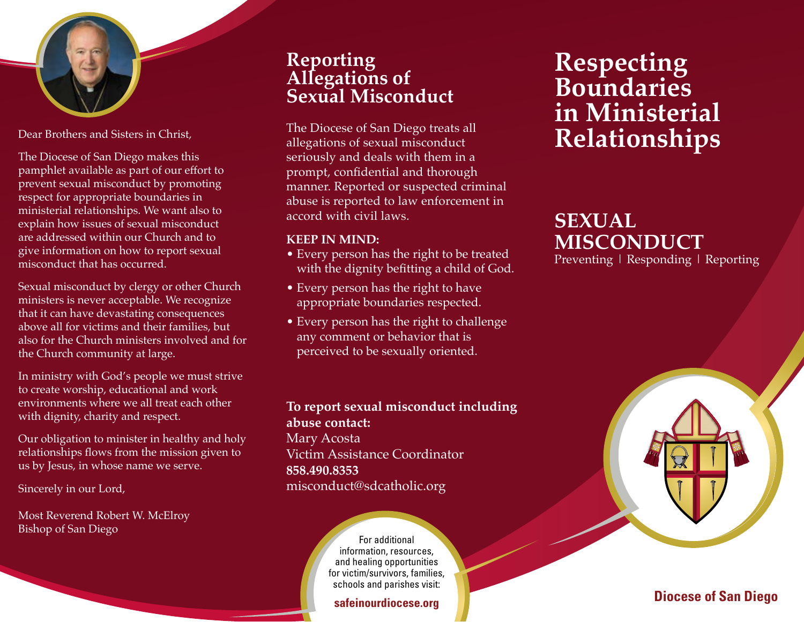

Dear Brothers and Sisters in Christ,

The Diocese of San Diego makes this pamphlet available as part of our effort to prevent sexual misconduct by promoting respect for appropriate boundaries in ministerial relationships. We want also to explain how issues of sexual misconduct are addressed within our Church and to give information on how to report sexual misconduct that has occurred.

Sexual misconduct by clergy or other Church ministers is never acceptable. We recognize that it can have devastating consequences above all for victims and their families, but also for the Church ministers involved and for the Church community at large.

In ministry with God's people we must strive to create worship, educational and work environments where we all treat each other with dignity, charity and respect.

Our obligation to minister in healthy and holy relationships flows from the mission given to us by Jesus, in whose name we serve.

Sincerely in our Lord,

Most Reverend Robert W. McElroy Bishop of San Diego

#### **Reporting Allegations of Sexual Misconduct**

The Diocese of San Diego treats all allegations of sexual misconduct seriously and deals with them in a prompt, confidential and thorough manner. Reported or suspected criminal abuse is reported to law enforcement in accord with civil laws.

#### **KEEP IN MIND:**

- Every person has the right to be treated with the dignity befitting a child of God.
- Every person has the right to have appropriate boundaries respected.
- Every person has the right to challenge any comment or behavior that is perceived to be sexually oriented.

**To report sexual misconduct including abuse contact:**  Mary Acosta Victim Assistance Coordinator **858.490.8353**  misconduct@sdcatholic.org

> For additional information, resources, and healing opportunities for victim/survivors, families, schools and parishes visit:

#### **safeinourdiocese.org**

## **Respecting Boundaries in Ministerial Relationships**

## **SEXUAL MISCONDUCT**

Preventing | Responding | Reporting